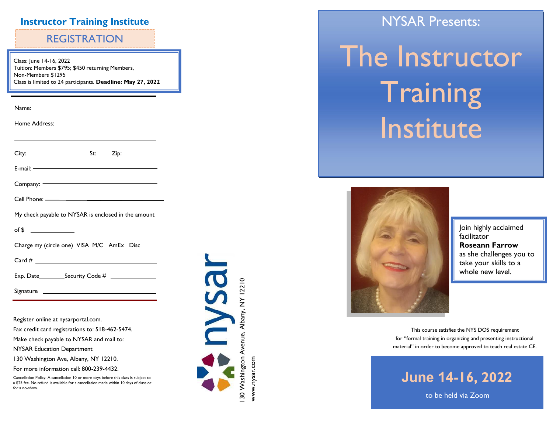## **Instructor Training Institute**

# REGISTRATION

Class: J une 14 -16, 2022 Tuition: Members \$795; \$450 returning Members, Non-Members \$1295 Class is limited to 2 4 participants. **Deadline: May 27, 2022**

| Cell Phone: ————————————————————                    |
|-----------------------------------------------------|
| My check payable to NYSAR is enclosed in the amount |
| of \$ $\qquad$                                      |
| Charge my (circle one) VISA M/C AmEx Disc           |
|                                                     |
|                                                     |
|                                                     |
|                                                     |
| Register online at nysarportal.com.                 |

Fax credit card registrations to: 518 -462 -5474.

Make check payable to NYSAR and mail to:

NYSAR Education Department

130 Washington Ave, Albany, NY 12210.

For more information call: 800 -239 -4432.

Cancellation Policy: A cancellation 10 or more days before this class is subject to a \$25 fee. No refund is available for a cancellation made within 10 days of class or for a no -show.



NYSAR Presents:

# The Instructor **Training Institute**



Join highly acclaimed facilitator **Roseann Farrow**  as she challenges you to take your skills to a whole new level.

This course satisfies the NYS DOS requirement for "formal training in organizing and presenting instructional material" in order to become approved to teach real estate CE.

**June 14-16, 202 2**

to be held via Zoom